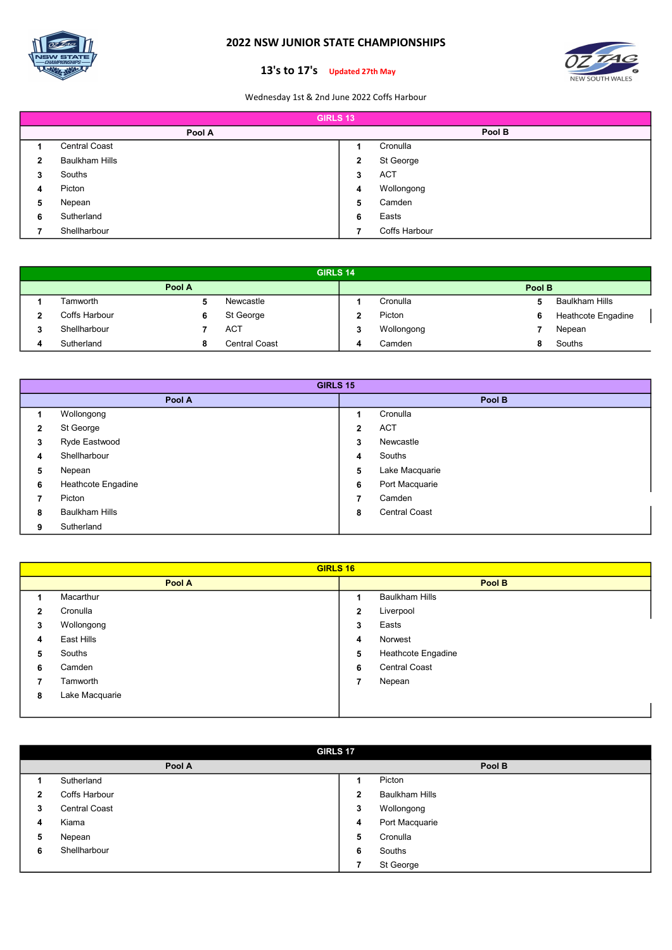

## 2022 NSW JUNIOR STATE CHAMPIONSHIPS



## 13's to 17's Updated 27th May

Wednesday 1st & 2nd June 2022 Coffs Harbour

|   | <b>GIRLS 13</b>       |   |               |  |  |  |  |
|---|-----------------------|---|---------------|--|--|--|--|
|   | Pool A                |   | Pool B        |  |  |  |  |
|   | <b>Central Coast</b>  |   | Cronulla      |  |  |  |  |
| 2 | <b>Baulkham Hills</b> | 2 | St George     |  |  |  |  |
| 3 | Souths                | 3 | <b>ACT</b>    |  |  |  |  |
| 4 | Picton                | 4 | Wollongong    |  |  |  |  |
| 5 | Nepean                | 5 | Camden        |  |  |  |  |
| 6 | Sutherland            | 6 | Easts         |  |  |  |  |
|   | Shellharbour          |   | Coffs Harbour |  |  |  |  |

|        | <b>GIRLS 14</b> |   |               |  |            |   |                       |  |
|--------|-----------------|---|---------------|--|------------|---|-----------------------|--|
| Pool A |                 |   |               |  | Pool B     |   |                       |  |
|        | Tamworth        |   | Newcastle     |  | Cronulla   | 5 | <b>Baulkham Hills</b> |  |
| ∍      | Coffs Harbour   | 6 | St George     |  | Picton     | 6 | Heathcote Engadine    |  |
| 2<br>a | Shellharbour    |   | <b>ACT</b>    |  | Wollongong |   | Nepean                |  |
| д.     | Sutherland      |   | Central Coast |  | Camden     | o | Souths                |  |

|              | <b>GIRLS 15</b>       |              |                      |  |  |  |  |
|--------------|-----------------------|--------------|----------------------|--|--|--|--|
|              | Pool A                | Pool B       |                      |  |  |  |  |
|              | Wollongong            |              | Cronulla             |  |  |  |  |
| $\mathbf{2}$ | St George             | $\mathbf{2}$ | <b>ACT</b>           |  |  |  |  |
| 3            | Ryde Eastwood         | 3            | Newcastle            |  |  |  |  |
| 4            | Shellharbour          | 4            | Souths               |  |  |  |  |
| 5            | Nepean                | 5            | Lake Macquarie       |  |  |  |  |
| 6            | Heathcote Engadine    | 6            | Port Macquarie       |  |  |  |  |
| 7            | Picton                | ⇁            | Camden               |  |  |  |  |
| 8            | <b>Baulkham Hills</b> | 8            | <b>Central Coast</b> |  |  |  |  |
| 9            | Sutherland            |              |                      |  |  |  |  |

|   | <b>GIRLS 16</b> |              |                       |  |  |  |  |  |
|---|-----------------|--------------|-----------------------|--|--|--|--|--|
|   | Pool A          |              | Pool B                |  |  |  |  |  |
|   | Macarthur       | 4            | <b>Baulkham Hills</b> |  |  |  |  |  |
| 2 | Cronulla        | $\mathbf{2}$ | Liverpool             |  |  |  |  |  |
| 3 | Wollongong      | 3            | Easts                 |  |  |  |  |  |
| 4 | East Hills      | 4            | Norwest               |  |  |  |  |  |
| 5 | Souths          | 5            | Heathcote Engadine    |  |  |  |  |  |
| 6 | Camden          | 6            | <b>Central Coast</b>  |  |  |  |  |  |
|   | Tamworth        | 7            | Nepean                |  |  |  |  |  |
| 8 | Lake Macquarie  |              |                       |  |  |  |  |  |
|   |                 |              |                       |  |  |  |  |  |

|   | <b>GIRLS 17</b>      |   |                       |  |  |  |  |
|---|----------------------|---|-----------------------|--|--|--|--|
|   | Pool A               |   | Pool B                |  |  |  |  |
|   | Sutherland           | ٠ | Picton                |  |  |  |  |
| 2 | Coffs Harbour        | 2 | <b>Baulkham Hills</b> |  |  |  |  |
| 3 | <b>Central Coast</b> | 3 | Wollongong            |  |  |  |  |
| 4 | Kiama                | 4 | Port Macquarie        |  |  |  |  |
| 5 | Nepean               | 5 | Cronulla              |  |  |  |  |
| 6 | Shellharbour         | 6 | Souths                |  |  |  |  |
|   |                      | 7 | St George             |  |  |  |  |